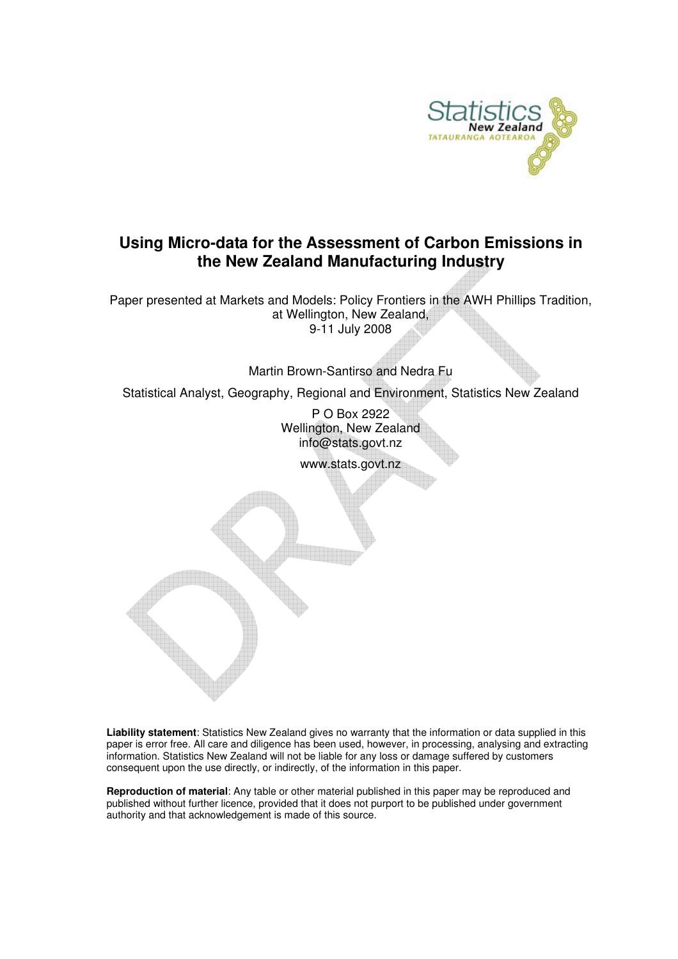

# **Using Micro-data for the Assessment of Carbon Emissions in the New Zealand Manufacturing Industry**

Paper presented at Markets and Models: Policy Frontiers in the AWH Phillips Tradition, at Wellington, New Zealand, 9-11 July 2008

Martin Brown-Santirso and Nedra Fu

Statistical Analyst, Geography, Regional and Environment, Statistics New Zealand

P O Box 2922 Wellington, New Zealand info@stats.govt.nz

www.stats.govt.nz

**Liability statement**: Statistics New Zealand gives no warranty that the information or data supplied in this paper is error free. All care and diligence has been used, however, in processing, analysing and extracting information. Statistics New Zealand will not be liable for any loss or damage suffered by customers consequent upon the use directly, or indirectly, of the information in this paper.

**Reproduction of material**: Any table or other material published in this paper may be reproduced and published without further licence, provided that it does not purport to be published under government authority and that acknowledgement is made of this source.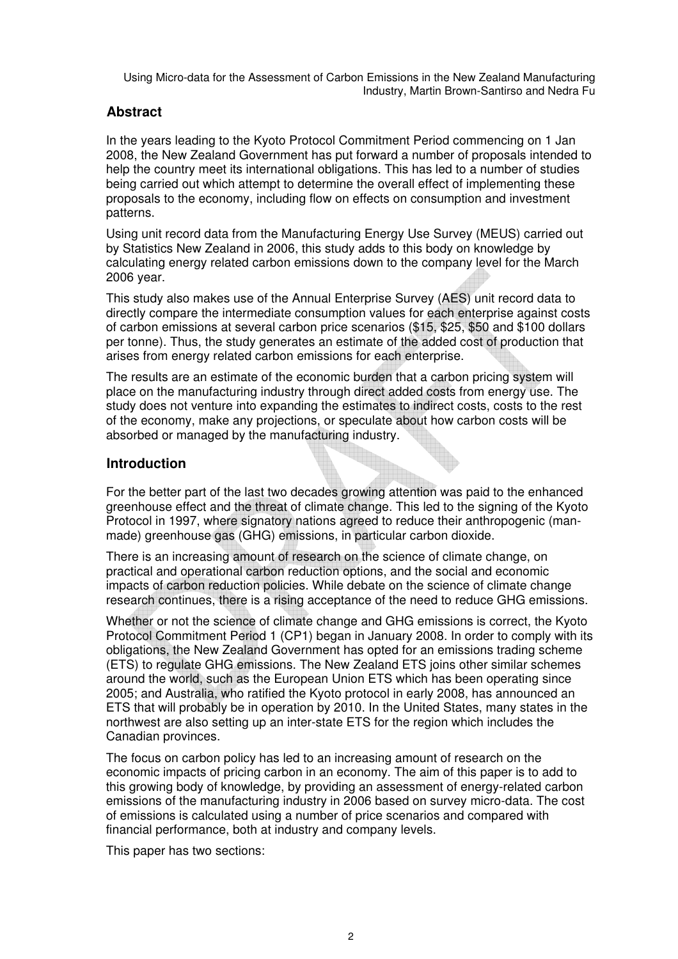## **Abstract**

In the years leading to the Kyoto Protocol Commitment Period commencing on 1 Jan 2008, the New Zealand Government has put forward a number of proposals intended to help the country meet its international obligations. This has led to a number of studies being carried out which attempt to determine the overall effect of implementing these proposals to the economy, including flow on effects on consumption and investment patterns.

Using unit record data from the Manufacturing Energy Use Survey (MEUS) carried out by Statistics New Zealand in 2006, this study adds to this body on knowledge by calculating energy related carbon emissions down to the company level for the March 2006 year.

This study also makes use of the Annual Enterprise Survey (AES) unit record data to directly compare the intermediate consumption values for each enterprise against costs of carbon emissions at several carbon price scenarios (\$15, \$25, \$50 and \$100 dollars per tonne). Thus, the study generates an estimate of the added cost of production that arises from energy related carbon emissions for each enterprise.

The results are an estimate of the economic burden that a carbon pricing system will place on the manufacturing industry through direct added costs from energy use. The study does not venture into expanding the estimates to indirect costs, costs to the rest of the economy, make any projections, or speculate about how carbon costs will be absorbed or managed by the manufacturing industry.

## **Introduction**

For the better part of the last two decades growing attention was paid to the enhanced greenhouse effect and the threat of climate change. This led to the signing of the Kyoto Protocol in 1997, where signatory nations agreed to reduce their anthropogenic (manmade) greenhouse gas (GHG) emissions, in particular carbon dioxide.

There is an increasing amount of research on the science of climate change, on practical and operational carbon reduction options, and the social and economic impacts of carbon reduction policies. While debate on the science of climate change research continues, there is a rising acceptance of the need to reduce GHG emissions.

Whether or not the science of climate change and GHG emissions is correct, the Kyoto Protocol Commitment Period 1 (CP1) began in January 2008. In order to comply with its obligations, the New Zealand Government has opted for an emissions trading scheme (ETS) to regulate GHG emissions. The New Zealand ETS joins other similar schemes around the world, such as the European Union ETS which has been operating since 2005; and Australia, who ratified the Kyoto protocol in early 2008, has announced an ETS that will probably be in operation by 2010. In the United States, many states in the northwest are also setting up an inter-state ETS for the region which includes the Canadian provinces.

The focus on carbon policy has led to an increasing amount of research on the economic impacts of pricing carbon in an economy. The aim of this paper is to add to this growing body of knowledge, by providing an assessment of energy-related carbon emissions of the manufacturing industry in 2006 based on survey micro-data. The cost of emissions is calculated using a number of price scenarios and compared with financial performance, both at industry and company levels.

This paper has two sections: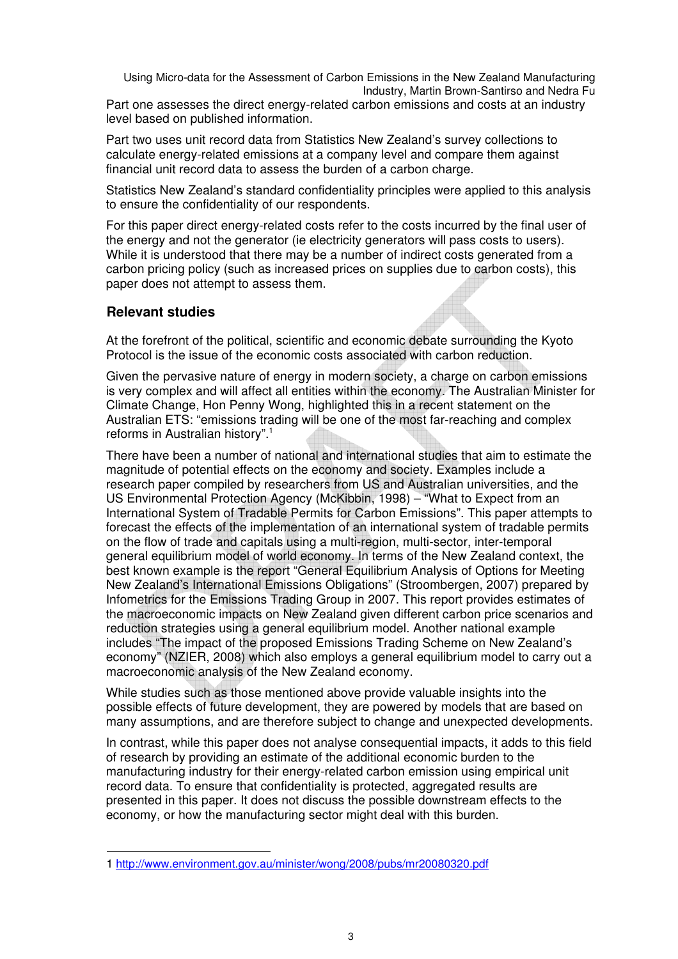Part one assesses the direct energy-related carbon emissions and costs at an industry level based on published information.

Part two uses unit record data from Statistics New Zealand's survey collections to calculate energy-related emissions at a company level and compare them against financial unit record data to assess the burden of a carbon charge.

Statistics New Zealand's standard confidentiality principles were applied to this analysis to ensure the confidentiality of our respondents.

For this paper direct energy-related costs refer to the costs incurred by the final user of the energy and not the generator (ie electricity generators will pass costs to users). While it is understood that there may be a number of indirect costs generated from a carbon pricing policy (such as increased prices on supplies due to carbon costs), this paper does not attempt to assess them.

### **Relevant studies**

l

At the forefront of the political, scientific and economic debate surrounding the Kyoto Protocol is the issue of the economic costs associated with carbon reduction.

Given the pervasive nature of energy in modern society, a charge on carbon emissions is very complex and will affect all entities within the economy. The Australian Minister for Climate Change, Hon Penny Wong, highlighted this in a recent statement on the Australian ETS: "emissions trading will be one of the most far-reaching and complex reforms in Australian history".<sup>1</sup>

There have been a number of national and international studies that aim to estimate the magnitude of potential effects on the economy and society. Examples include a research paper compiled by researchers from US and Australian universities, and the US Environmental Protection Agency (McKibbin, 1998) – "What to Expect from an International System of Tradable Permits for Carbon Emissions". This paper attempts to forecast the effects of the implementation of an international system of tradable permits on the flow of trade and capitals using a multi-region, multi-sector, inter-temporal general equilibrium model of world economy. In terms of the New Zealand context, the best known example is the report "General Equilibrium Analysis of Options for Meeting New Zealand's International Emissions Obligations" (Stroombergen, 2007) prepared by Infometrics for the Emissions Trading Group in 2007. This report provides estimates of the macroeconomic impacts on New Zealand given different carbon price scenarios and reduction strategies using a general equilibrium model. Another national example includes "The impact of the proposed Emissions Trading Scheme on New Zealand's economy" (NZIER, 2008) which also employs a general equilibrium model to carry out a macroeconomic analysis of the New Zealand economy.

While studies such as those mentioned above provide valuable insights into the possible effects of future development, they are powered by models that are based on many assumptions, and are therefore subject to change and unexpected developments.

In contrast, while this paper does not analyse consequential impacts, it adds to this field of research by providing an estimate of the additional economic burden to the manufacturing industry for their energy-related carbon emission using empirical unit record data. To ensure that confidentiality is protected, aggregated results are presented in this paper. It does not discuss the possible downstream effects to the economy, or how the manufacturing sector might deal with this burden.

<sup>1</sup> http://www.environment.gov.au/minister/wong/2008/pubs/mr20080320.pdf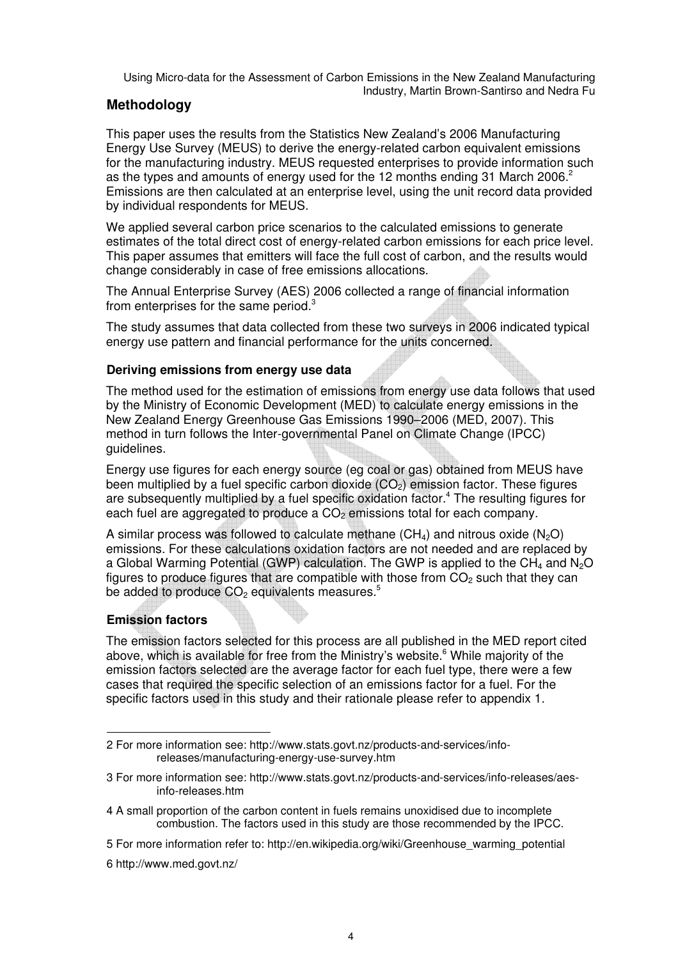## **Methodology**

This paper uses the results from the Statistics New Zealand's 2006 Manufacturing Energy Use Survey (MEUS) to derive the energy-related carbon equivalent emissions for the manufacturing industry. MEUS requested enterprises to provide information such as the types and amounts of energy used for the 12 months ending 31 March 2006.<sup>2</sup> Emissions are then calculated at an enterprise level, using the unit record data provided by individual respondents for MEUS.

We applied several carbon price scenarios to the calculated emissions to generate estimates of the total direct cost of energy-related carbon emissions for each price level. This paper assumes that emitters will face the full cost of carbon, and the results would change considerably in case of free emissions allocations.

The Annual Enterprise Survey (AES) 2006 collected a range of financial information from enterprises for the same period.<sup>3</sup>

The study assumes that data collected from these two surveys in 2006 indicated typical energy use pattern and financial performance for the units concerned.

### **Deriving emissions from energy use data**

The method used for the estimation of emissions from energy use data follows that used by the Ministry of Economic Development (MED) to calculate energy emissions in the New Zealand Energy Greenhouse Gas Emissions 1990–2006 (MED, 2007). This method in turn follows the Inter-governmental Panel on Climate Change (IPCC) guidelines.

Energy use figures for each energy source (eg coal or gas) obtained from MEUS have been multiplied by a fuel specific carbon dioxide  $(CO<sub>2</sub>)$  emission factor. These figures are subsequently multiplied by a fuel specific oxidation factor.<sup>4</sup> The resulting figures for each fuel are aggregated to produce a  $CO<sub>2</sub>$  emissions total for each company.

A similar process was followed to calculate methane  $(CH_4)$  and nitrous oxide  $(N_2O)$ emissions. For these calculations oxidation factors are not needed and are replaced by a Global Warming Potential (GWP) calculation. The GWP is applied to the  $CH_4$  and  $N_2O$ figures to produce figures that are compatible with those from  $CO<sub>2</sub>$  such that they can be added to produce  $CO<sub>2</sub>$  equivalents measures.<sup>5</sup>

### **Emission factors**

l

The emission factors selected for this process are all published in the MED report cited above, which is available for free from the Ministry's website.<sup>6</sup> While majority of the emission factors selected are the average factor for each fuel type, there were a few cases that required the specific selection of an emissions factor for a fuel. For the specific factors used in this study and their rationale please refer to appendix 1.

<sup>2</sup> For more information see: http://www.stats.govt.nz/products-and-services/inforeleases/manufacturing-energy-use-survey.htm

<sup>3</sup> For more information see: http://www.stats.govt.nz/products-and-services/info-releases/aesinfo-releases.htm

<sup>4</sup> A small proportion of the carbon content in fuels remains unoxidised due to incomplete combustion. The factors used in this study are those recommended by the IPCC.

<sup>5</sup> For more information refer to: http://en.wikipedia.org/wiki/Greenhouse\_warming\_potential

<sup>6</sup> http://www.med.govt.nz/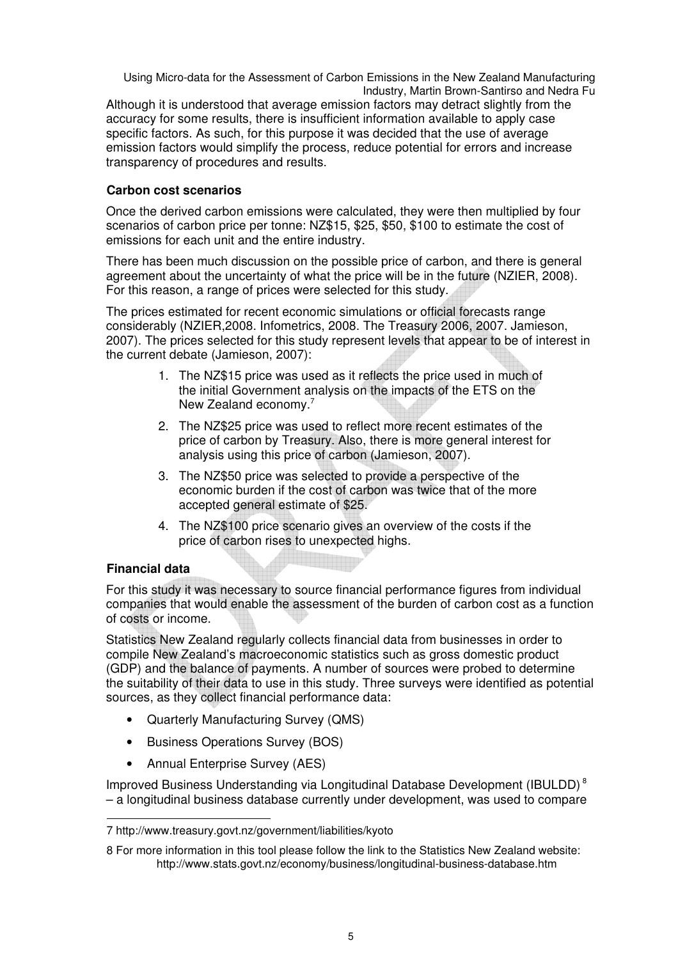Although it is understood that average emission factors may detract slightly from the accuracy for some results, there is insufficient information available to apply case specific factors. As such, for this purpose it was decided that the use of average emission factors would simplify the process, reduce potential for errors and increase transparency of procedures and results.

### **Carbon cost scenarios**

Once the derived carbon emissions were calculated, they were then multiplied by four scenarios of carbon price per tonne: NZ\$15, \$25, \$50, \$100 to estimate the cost of emissions for each unit and the entire industry.

There has been much discussion on the possible price of carbon, and there is general agreement about the uncertainty of what the price will be in the future (NZIER, 2008). For this reason, a range of prices were selected for this study.

The prices estimated for recent economic simulations or official forecasts range considerably (NZIER,2008. Infometrics, 2008. The Treasury 2006, 2007. Jamieson, 2007). The prices selected for this study represent levels that appear to be of interest in the current debate (Jamieson, 2007):

- 1. The NZ\$15 price was used as it reflects the price used in much of the initial Government analysis on the impacts of the ETS on the New Zealand economy.<sup>7</sup>
- 2. The NZ\$25 price was used to reflect more recent estimates of the price of carbon by Treasury. Also, there is more general interest for analysis using this price of carbon (Jamieson, 2007).
- 3. The NZ\$50 price was selected to provide a perspective of the economic burden if the cost of carbon was twice that of the more accepted general estimate of \$25.
- 4. The NZ\$100 price scenario gives an overview of the costs if the price of carbon rises to unexpected highs.

## **Financial data**

For this study it was necessary to source financial performance figures from individual companies that would enable the assessment of the burden of carbon cost as a function of costs or income.

Statistics New Zealand regularly collects financial data from businesses in order to compile New Zealand's macroeconomic statistics such as gross domestic product (GDP) and the balance of payments. A number of sources were probed to determine the suitability of their data to use in this study. Three surveys were identified as potential sources, as they collect financial performance data:

- Quarterly Manufacturing Survey (QMS)
- Business Operations Survey (BOS)
- Annual Enterprise Survey (AES)

Improved Business Understanding via Longitudinal Database Development (IBULDD)<sup>8</sup> – a longitudinal business database currently under development, was used to compare

 $\overline{\phantom{a}}$ 7 http://www.treasury.govt.nz/government/liabilities/kyoto

<sup>8</sup> For more information in this tool please follow the link to the Statistics New Zealand website: http://www.stats.govt.nz/economy/business/longitudinal-business-database.htm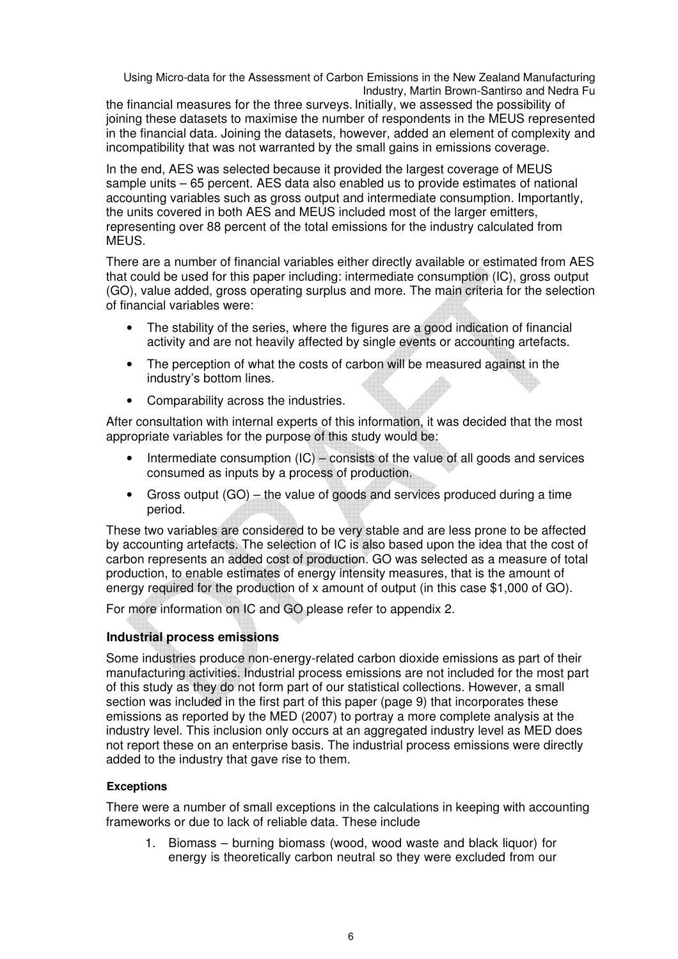the financial measures for the three surveys. Initially, we assessed the possibility of joining these datasets to maximise the number of respondents in the MEUS represented in the financial data. Joining the datasets, however, added an element of complexity and incompatibility that was not warranted by the small gains in emissions coverage.

In the end, AES was selected because it provided the largest coverage of MEUS sample units – 65 percent. AES data also enabled us to provide estimates of national accounting variables such as gross output and intermediate consumption. Importantly, the units covered in both AES and MEUS included most of the larger emitters, representing over 88 percent of the total emissions for the industry calculated from MEUS.

There are a number of financial variables either directly available or estimated from AES that could be used for this paper including: intermediate consumption (IC), gross output (GO), value added, gross operating surplus and more. The main criteria for the selection of financial variables were:

- The stability of the series, where the figures are a good indication of financial activity and are not heavily affected by single events or accounting artefacts.
- The perception of what the costs of carbon will be measured against in the industry's bottom lines.
- Comparability across the industries.

After consultation with internal experts of this information, it was decided that the most appropriate variables for the purpose of this study would be:

- Intermediate consumption  $(IC)$  consists of the value of all goods and services consumed as inputs by a process of production.
- Gross output (GO) the value of goods and services produced during a time period.

These two variables are considered to be very stable and are less prone to be affected by accounting artefacts. The selection of IC is also based upon the idea that the cost of carbon represents an added cost of production. GO was selected as a measure of total production, to enable estimates of energy intensity measures, that is the amount of energy required for the production of x amount of output (in this case \$1,000 of GO).

For more information on IC and GO please refer to appendix 2.

## **Industrial process emissions**

Some industries produce non-energy-related carbon dioxide emissions as part of their manufacturing activities. Industrial process emissions are not included for the most part of this study as they do not form part of our statistical collections. However, a small section was included in the first part of this paper (page 9) that incorporates these emissions as reported by the MED (2007) to portray a more complete analysis at the industry level. This inclusion only occurs at an aggregated industry level as MED does not report these on an enterprise basis. The industrial process emissions were directly added to the industry that gave rise to them.

### **Exceptions**

There were a number of small exceptions in the calculations in keeping with accounting frameworks or due to lack of reliable data. These include

1. Biomass – burning biomass (wood, wood waste and black liquor) for energy is theoretically carbon neutral so they were excluded from our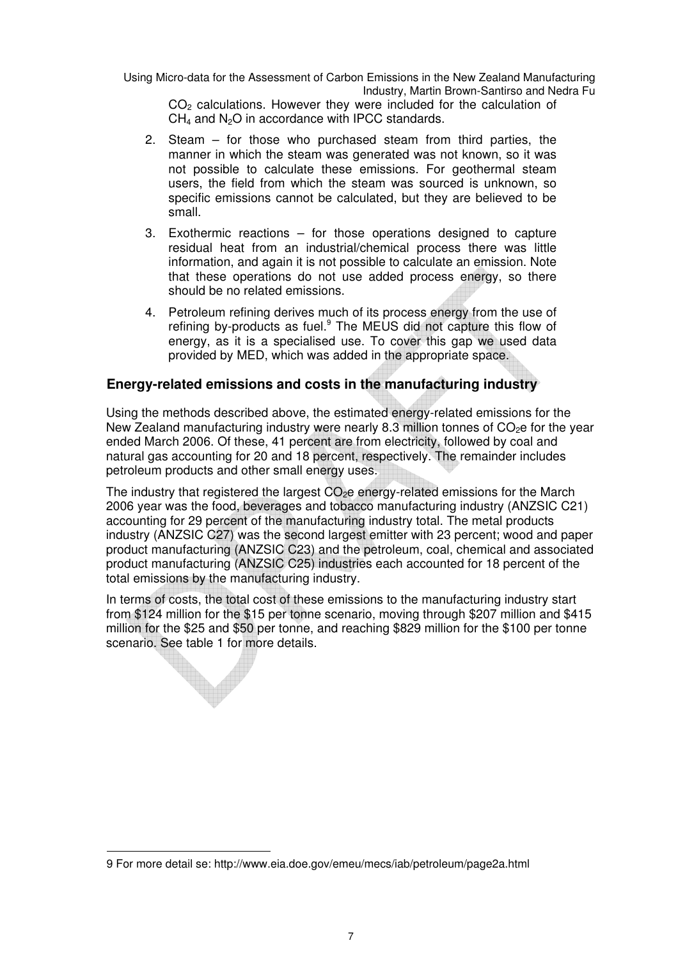$CO<sub>2</sub>$  calculations. However they were included for the calculation of  $CH<sub>4</sub>$  and N<sub>2</sub>O in accordance with IPCC standards.

- 2. Steam for those who purchased steam from third parties, the manner in which the steam was generated was not known, so it was not possible to calculate these emissions. For geothermal steam users, the field from which the steam was sourced is unknown, so specific emissions cannot be calculated, but they are believed to be small.
- 3. Exothermic reactions for those operations designed to capture residual heat from an industrial/chemical process there was little information, and again it is not possible to calculate an emission. Note that these operations do not use added process energy, so there should be no related emissions.
- 4. Petroleum refining derives much of its process energy from the use of refining by-products as fuel.<sup>9</sup> The MEUS did not capture this flow of energy, as it is a specialised use. To cover this gap we used data provided by MED, which was added in the appropriate space.

### **Energy-related emissions and costs in the manufacturing industry**

Using the methods described above, the estimated energy-related emissions for the New Zealand manufacturing industry were nearly 8.3 million tonnes of  $CO<sub>2</sub>e$  for the year ended March 2006. Of these, 41 percent are from electricity, followed by coal and natural gas accounting for 20 and 18 percent, respectively. The remainder includes petroleum products and other small energy uses.

The industry that registered the largest  $CO<sub>2</sub>e$  energy-related emissions for the March 2006 year was the food, beverages and tobacco manufacturing industry (ANZSIC C21) accounting for 29 percent of the manufacturing industry total. The metal products industry (ANZSIC C27) was the second largest emitter with 23 percent; wood and paper product manufacturing (ANZSIC C23) and the petroleum, coal, chemical and associated product manufacturing (ANZSIC C25) industries each accounted for 18 percent of the total emissions by the manufacturing industry.

In terms of costs, the total cost of these emissions to the manufacturing industry start from \$124 million for the \$15 per tonne scenario, moving through \$207 million and \$415 million for the \$25 and \$50 per tonne, and reaching \$829 million for the \$100 per tonne scenario. See table 1 for more details.

l

<sup>9</sup> For more detail se: http://www.eia.doe.gov/emeu/mecs/iab/petroleum/page2a.html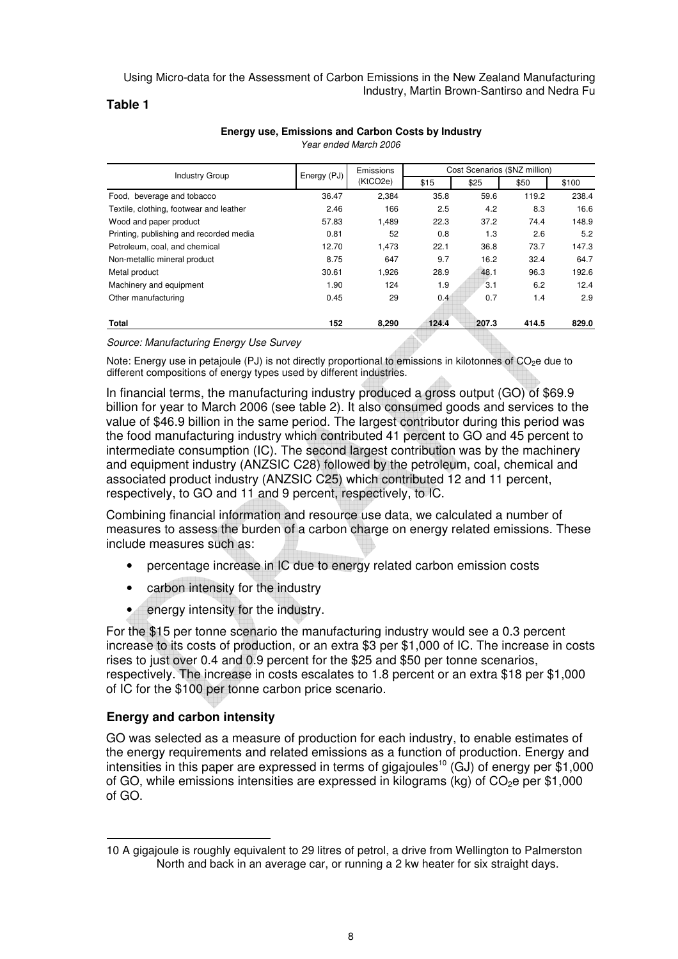#### **Table 1**

| <b>Industry Group</b>                   | Energy (PJ) | Emissions |       | Cost Scenarios (\$NZ million) |       |       |
|-----------------------------------------|-------------|-----------|-------|-------------------------------|-------|-------|
|                                         |             | (KtCO2e)  | \$15  | \$25                          | \$50  | \$100 |
| Food, beverage and tobacco              | 36.47       | 2,384     | 35.8  | 59.6                          | 119.2 | 238.4 |
| Textile, clothing, footwear and leather | 2.46        | 166       | 2.5   | 4.2                           | 8.3   | 16.6  |
| Wood and paper product                  | 57.83       | 1,489     | 22.3  | 37.2                          | 74.4  | 148.9 |
| Printing, publishing and recorded media | 0.81        | 52        | 0.8   | 1.3                           | 2.6   | 5.2   |
| Petroleum, coal, and chemical           | 12.70       | 1.473     | 22.1  | 36.8                          | 73.7  | 147.3 |
| Non-metallic mineral product            | 8.75        | 647       | 9.7   | 16.2                          | 32.4  | 64.7  |
| Metal product                           | 30.61       | 1,926     | 28.9  | 48.1                          | 96.3  | 192.6 |
| Machinery and equipment                 | 1.90        | 124       | 1.9   | 3.1                           | 6.2   | 12.4  |
| Other manufacturing                     | 0.45        | 29        | 0.4   | 0.7                           | 1.4   | 2.9   |
|                                         |             |           |       |                               |       |       |
| <b>Total</b>                            | 152         | 8,290     | 124.4 | 207.3                         | 414.5 | 829.0 |

#### **Energy use, Emissions and Carbon Costs by Industry** Year ended March 2006

#### Source: Manufacturing Energy Use Survey

Note: Energy use in petajoule (PJ) is not directly proportional to emissions in kilotonnes of CO<sub>2</sub>e due to different compositions of energy types used by different industries.

In financial terms, the manufacturing industry produced a gross output (GO) of \$69.9 billion for year to March 2006 (see table 2). It also consumed goods and services to the value of \$46.9 billion in the same period. The largest contributor during this period was the food manufacturing industry which contributed 41 percent to GO and 45 percent to intermediate consumption (IC). The second largest contribution was by the machinery and equipment industry (ANZSIC C28) followed by the petroleum, coal, chemical and associated product industry (ANZSIC C25) which contributed 12 and 11 percent, respectively, to GO and 11 and 9 percent, respectively, to IC.

Combining financial information and resource use data, we calculated a number of measures to assess the burden of a carbon charge on energy related emissions. These include measures such as:

- percentage increase in IC due to energy related carbon emission costs
- carbon intensity for the industry
- energy intensity for the industry.

For the \$15 per tonne scenario the manufacturing industry would see a 0.3 percent increase to its costs of production, or an extra \$3 per \$1,000 of IC. The increase in costs rises to just over 0.4 and 0.9 percent for the \$25 and \$50 per tonne scenarios, respectively. The increase in costs escalates to 1.8 percent or an extra \$18 per \$1,000 of IC for the \$100 per tonne carbon price scenario.

## **Energy and carbon intensity**

l

GO was selected as a measure of production for each industry, to enable estimates of the energy requirements and related emissions as a function of production. Energy and intensities in this paper are expressed in terms of gigajoules<sup>10</sup> (GJ) of energy per  $\check{\$1,000}$ of GO, while emissions intensities are expressed in kilograms (kg) of  $CO<sub>2</sub>e$  per \$1,000 of GO.

<sup>10</sup> A gigajoule is roughly equivalent to 29 litres of petrol, a drive from Wellington to Palmerston North and back in an average car, or running a 2 kw heater for six straight days.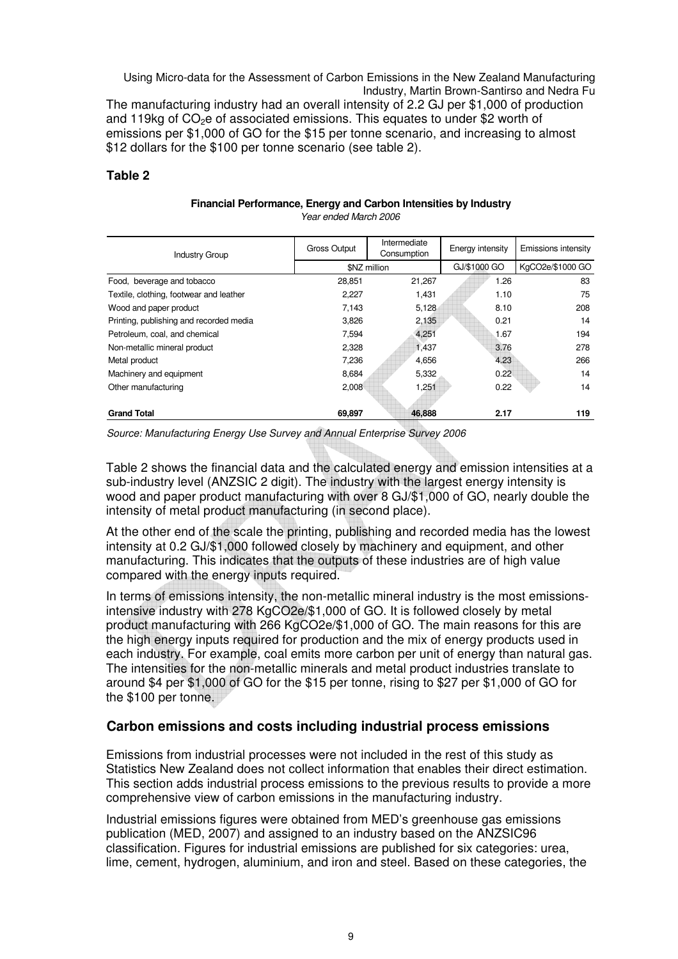The manufacturing industry had an overall intensity of 2.2 GJ per \$1,000 of production and 119kg of  $CO<sub>2</sub>e$  of associated emissions. This equates to under \$2 worth of emissions per \$1,000 of GO for the \$15 per tonne scenario, and increasing to almost \$12 dollars for the \$100 per tonne scenario (see table 2).

### **Table 2**

| Financial Performance, Energy and Carbon Intensities by Industry |                       |  |
|------------------------------------------------------------------|-----------------------|--|
|                                                                  | Year ended March 2006 |  |

| <b>Industry Group</b>                   | Gross Output | Intermediate<br>Consumption | Energy intensity | Emissions intensity |
|-----------------------------------------|--------------|-----------------------------|------------------|---------------------|
|                                         |              | \$NZ million                | GJ/\$1000 GO     | KgCO2e/\$1000 GO    |
| Food, beverage and tobacco              | 28,851       | 21,267                      | 1.26             | 83                  |
| Textile, clothing, footwear and leather | 2.227        | 1,431                       | 1.10             | 75                  |
| Wood and paper product                  | 7,143        | 5,128                       | 8.10             | 208                 |
| Printing, publishing and recorded media | 3,826        | 2,135                       | 0.21             | 14                  |
| Petroleum, coal, and chemical           | 7,594        | 4,251                       | 1.67             | 194                 |
| Non-metallic mineral product            | 2,328        | 1,437                       | 3.76             | 278                 |
| Metal product                           | 7,236        | 4,656                       | 4.23             | 266                 |
| Machinery and equipment                 | 8,684        | 5,332                       | 0.22             | 14                  |
| Other manufacturing                     | 2,008        | 1,251                       | 0.22             | 14                  |
|                                         |              |                             |                  |                     |
| <b>Grand Total</b>                      | 69,897       | 46,888                      | 2.17             | 119                 |

Source: Manufacturing Energy Use Survey and Annual Enterprise Survey 2006

Table 2 shows the financial data and the calculated energy and emission intensities at a sub-industry level (ANZSIC 2 digit). The industry with the largest energy intensity is wood and paper product manufacturing with over 8 GJ/\$1,000 of GO, nearly double the intensity of metal product manufacturing (in second place).

At the other end of the scale the printing, publishing and recorded media has the lowest intensity at 0.2 GJ/\$1,000 followed closely by machinery and equipment, and other manufacturing. This indicates that the outputs of these industries are of high value compared with the energy inputs required.

In terms of emissions intensity, the non-metallic mineral industry is the most emissionsintensive industry with 278 KgCO2e/\$1,000 of GO. It is followed closely by metal product manufacturing with 266 KgCO2e/\$1,000 of GO. The main reasons for this are the high energy inputs required for production and the mix of energy products used in each industry. For example, coal emits more carbon per unit of energy than natural gas. The intensities for the non-metallic minerals and metal product industries translate to around \$4 per \$1,000 of GO for the \$15 per tonne, rising to \$27 per \$1,000 of GO for the \$100 per tonne.

## **Carbon emissions and costs including industrial process emissions**

Emissions from industrial processes were not included in the rest of this study as Statistics New Zealand does not collect information that enables their direct estimation. This section adds industrial process emissions to the previous results to provide a more comprehensive view of carbon emissions in the manufacturing industry.

Industrial emissions figures were obtained from MED's greenhouse gas emissions publication (MED, 2007) and assigned to an industry based on the ANZSIC96 classification. Figures for industrial emissions are published for six categories: urea, lime, cement, hydrogen, aluminium, and iron and steel. Based on these categories, the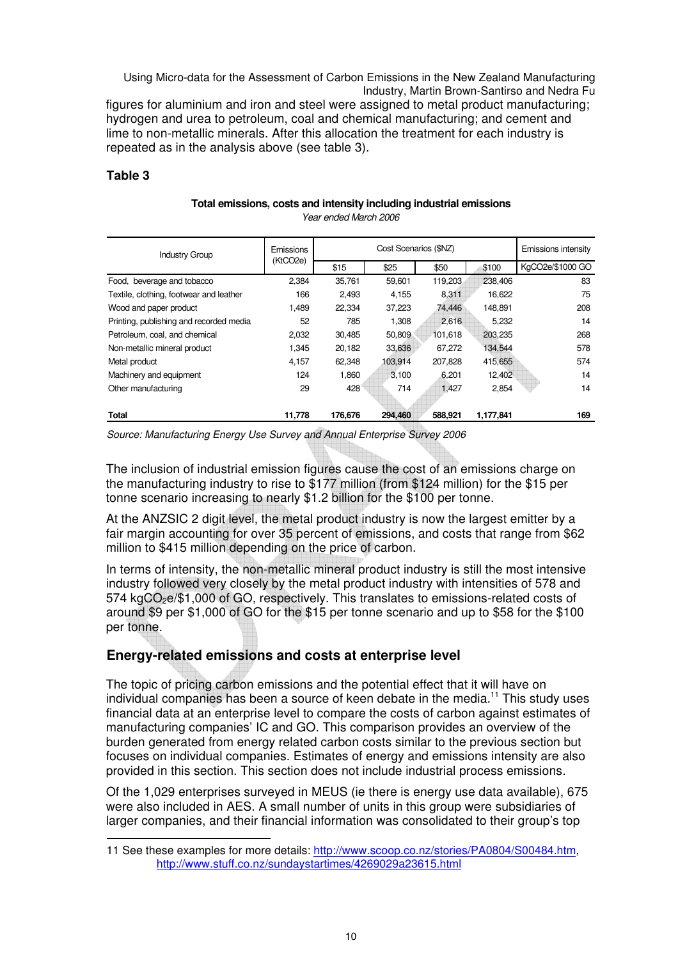figures for aluminium and iron and steel were assigned to metal product manufacturing; hydrogen and urea to petroleum, coal and chemical manufacturing; and cement and lime to non-metallic minerals. After this allocation the treatment for each industry is repeated as in the analysis above (see table 3).

### **Table 3**

l

#### **Total emissions, costs and intensity including industrial emissions** Year ended March 2006

| <b>Industry Group</b>                   | Emissions | Cost Scenarios (\$NZ) |         |         |           | Emissions intensity |  |
|-----------------------------------------|-----------|-----------------------|---------|---------|-----------|---------------------|--|
|                                         | (KtCO2e)  | \$15                  | \$25    | \$50    | \$100     | KgCO2e/\$1000 GO    |  |
| Food, beverage and tobacco              | 2.384     | 35,761                | 59,601  | 119,203 | 238,406   | 83                  |  |
| Textile, clothing, footwear and leather | 166       | 2,493                 | 4,155   | 8,311   | 16,622    | 75                  |  |
| Wood and paper product                  | 1,489     | 22,334                | 37,223  | 74,446  | 148,891   | 208                 |  |
| Printing, publishing and recorded media | 52        | 785                   | 1,308   | 2,616   | 5,232     | 14                  |  |
| Petroleum, coal, and chemical           | 2,032     | 30,485                | 50,809  | 101,618 | 203,235   | 268                 |  |
| Non-metallic mineral product            | 1.345     | 20,182                | 33,636  | 67,272  | 134,544   | 578                 |  |
| Metal product                           | 4,157     | 62,348                | 103,914 | 207,828 | 415,655   | 574                 |  |
| Machinery and equipment                 | 124       | 1,860                 | 3,100   | 6,201   | 12,402    | 14                  |  |
| Other manufacturing                     | 29        | 428                   | 714     | 1.427   | 2,854     | 14                  |  |
|                                         |           |                       |         |         |           |                     |  |
| <b>Total</b>                            | 11,778    | 176,676               | 294,460 | 588.921 | 1,177,841 | 169                 |  |

Source: Manufacturing Energy Use Survey and Annual Enterprise Survey 2006

The inclusion of industrial emission figures cause the cost of an emissions charge on the manufacturing industry to rise to \$177 million (from \$124 million) for the \$15 per tonne scenario increasing to nearly \$1.2 billion for the \$100 per tonne.

At the ANZSIC 2 digit level, the metal product industry is now the largest emitter by a fair margin accounting for over 35 percent of emissions, and costs that range from \$62 million to \$415 million depending on the price of carbon.

In terms of intensity, the non-metallic mineral product industry is still the most intensive industry followed very closely by the metal product industry with intensities of 578 and  $574 \text{ kgCO}_2$ e/\$1,000 of GO, respectively. This translates to emissions-related costs of around \$9 per \$1,000 of GO for the \$15 per tonne scenario and up to \$58 for the \$100 per tonne.

# **Energy-related emissions and costs at enterprise level**

The topic of pricing carbon emissions and the potential effect that it will have on individual companies has been a source of keen debate in the media.<sup>11</sup> This study uses financial data at an enterprise level to compare the costs of carbon against estimates of manufacturing companies' IC and GO. This comparison provides an overview of the burden generated from energy related carbon costs similar to the previous section but focuses on individual companies. Estimates of energy and emissions intensity are also provided in this section. This section does not include industrial process emissions.

Of the 1,029 enterprises surveyed in MEUS (ie there is energy use data available), 675 were also included in AES. A small number of units in this group were subsidiaries of larger companies, and their financial information was consolidated to their group's top

<sup>11</sup> See these examples for more details: http://www.scoop.co.nz/stories/PA0804/S00484.htm, http://www.stuff.co.nz/sundaystartimes/4269029a23615.html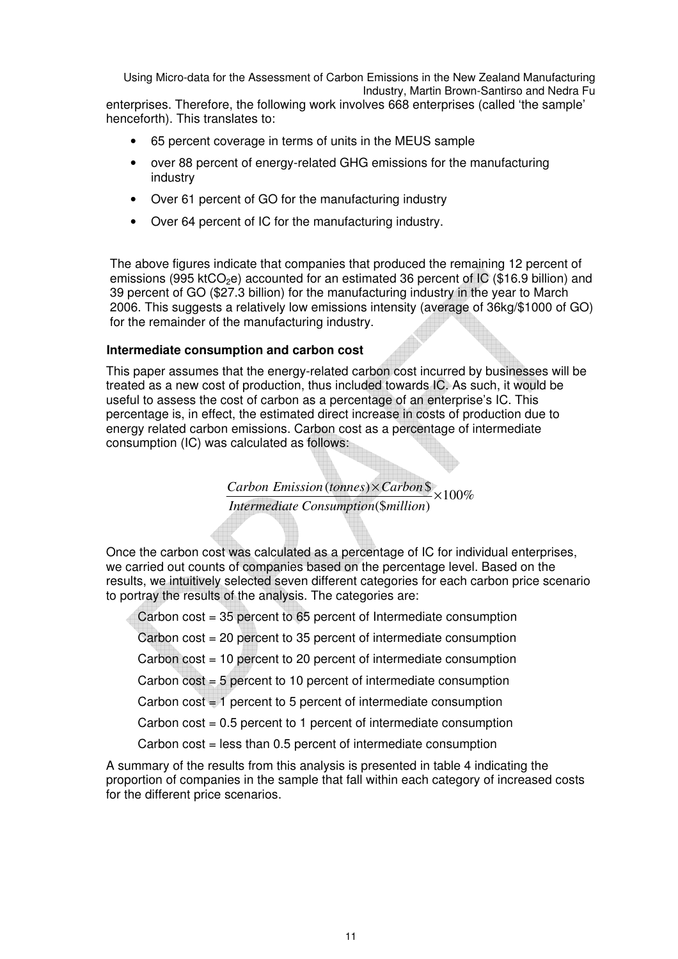enterprises. Therefore, the following work involves 668 enterprises (called 'the sample' henceforth). This translates to:

- 65 percent coverage in terms of units in the MEUS sample
- over 88 percent of energy-related GHG emissions for the manufacturing industry
- Over 61 percent of GO for the manufacturing industry
- Over 64 percent of IC for the manufacturing industry.

The above figures indicate that companies that produced the remaining 12 percent of emissions (995 ktCO<sub>2</sub>e) accounted for an estimated 36 percent of IC (\$16.9 billion) and 39 percent of GO (\$27.3 billion) for the manufacturing industry in the year to March 2006. This suggests a relatively low emissions intensity (average of 36kg/\$1000 of GO) for the remainder of the manufacturing industry.

#### **Intermediate consumption and carbon cost**

This paper assumes that the energy-related carbon cost incurred by businesses will be treated as a new cost of production, thus included towards IC. As such, it would be useful to assess the cost of carbon as a percentage of an enterprise's IC. This percentage is, in effect, the estimated direct increase in costs of production due to energy related carbon emissions. Carbon cost as a percentage of intermediate consumption (IC) was calculated as follows:

> $\frac{Carbon Emission \times Carbon\$ <br>  $\frac{1}{2} \times 100\%$  $Intermediate \ Consumption (\$ million)$

Once the carbon cost was calculated as a percentage of IC for individual enterprises, we carried out counts of companies based on the percentage level. Based on the results, we intuitively selected seven different categories for each carbon price scenario to portray the results of the analysis. The categories are:

Carbon cost = 35 percent to 65 percent of Intermediate consumption

Carbon cost = 20 percent to 35 percent of intermediate consumption

Carbon cost = 10 percent to 20 percent of intermediate consumption

Carbon cost = 5 percent to 10 percent of intermediate consumption

Carbon cost = 1 percent to 5 percent of intermediate consumption

Carbon  $cost = 0.5$  percent to 1 percent of intermediate consumption

Carbon cost = less than 0.5 percent of intermediate consumption

A summary of the results from this analysis is presented in table 4 indicating the proportion of companies in the sample that fall within each category of increased costs for the different price scenarios.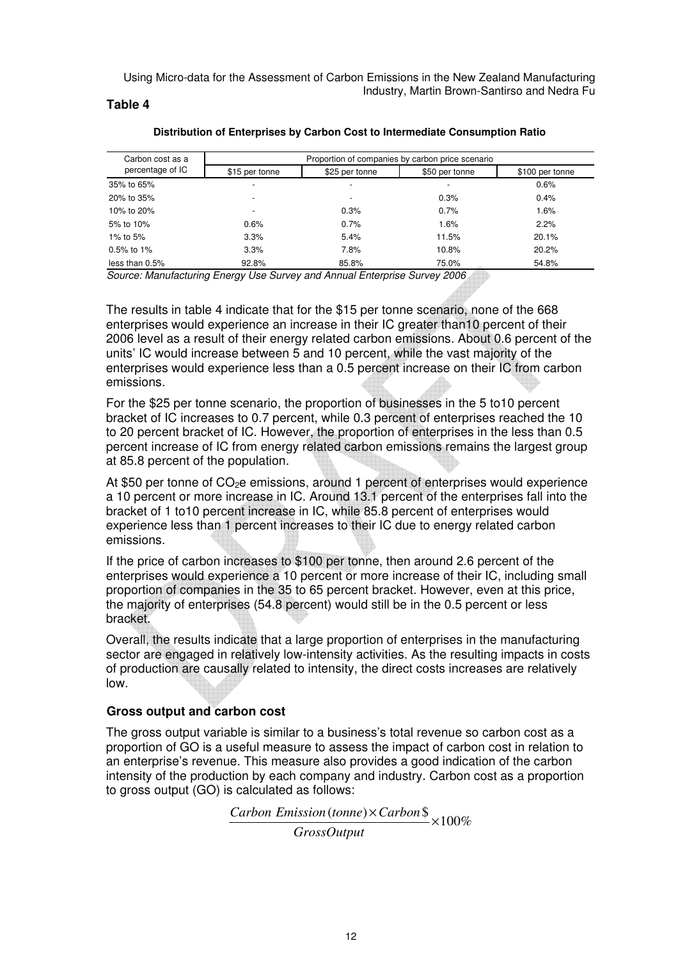#### **Table 4**

| Carbon cost as a | Proportion of companies by carbon price scenario |                          |                |                 |  |  |  |  |
|------------------|--------------------------------------------------|--------------------------|----------------|-----------------|--|--|--|--|
| percentage of IC | \$15 per tonne                                   | \$25 per tonne           | \$50 per tonne | \$100 per tonne |  |  |  |  |
| 35% to 65%       | $\overline{\phantom{a}}$                         | $\overline{\phantom{0}}$ | -              | 0.6%            |  |  |  |  |
| 20% to 35%       | $\overline{\phantom{a}}$                         | $\overline{\phantom{0}}$ | 0.3%           | 0.4%            |  |  |  |  |
| 10% to 20%       | $\overline{\phantom{a}}$                         | 0.3%                     | 0.7%           | 1.6%            |  |  |  |  |
| 5% to 10%        | $0.6\%$                                          | 0.7%                     | 1.6%           | 2.2%            |  |  |  |  |
| 1% to 5%         | 3.3%                                             | 5.4%                     | 11.5%          | 20.1%           |  |  |  |  |
| 0.5% to 1%       | 3.3%                                             | 7.8%                     | 10.8%          | 20.2%           |  |  |  |  |
| less than 0.5%   | 92.8%                                            | 85.8%                    | 75.0%          | 54.8%           |  |  |  |  |

#### **Distribution of Enterprises by Carbon Cost to Intermediate Consumption Ratio**

Source: Manufacturing Energy Use Survey and Annual Enterprise Survey 2006

The results in table 4 indicate that for the \$15 per tonne scenario, none of the 668 enterprises would experience an increase in their IC greater than10 percent of their 2006 level as a result of their energy related carbon emissions. About 0.6 percent of the units' IC would increase between 5 and 10 percent, while the vast majority of the enterprises would experience less than a 0.5 percent increase on their IC from carbon emissions.

For the \$25 per tonne scenario, the proportion of businesses in the 5 to10 percent bracket of IC increases to 0.7 percent, while 0.3 percent of enterprises reached the 10 to 20 percent bracket of IC. However, the proportion of enterprises in the less than 0.5 percent increase of IC from energy related carbon emissions remains the largest group at 85.8 percent of the population.

At \$50 per tonne of  $CO<sub>2</sub>e$  emissions, around 1 percent of enterprises would experience a 10 percent or more increase in IC. Around 13.1 percent of the enterprises fall into the bracket of 1 to10 percent increase in IC, while 85.8 percent of enterprises would experience less than 1 percent increases to their IC due to energy related carbon emissions.

If the price of carbon increases to \$100 per tonne, then around 2.6 percent of the enterprises would experience a 10 percent or more increase of their IC, including small proportion of companies in the 35 to 65 percent bracket. However, even at this price, the majority of enterprises (54.8 percent) would still be in the 0.5 percent or less bracket.

Overall, the results indicate that a large proportion of enterprises in the manufacturing sector are engaged in relatively low-intensity activities. As the resulting impacts in costs of production are causally related to intensity, the direct costs increases are relatively low.

### **Gross output and carbon cost**

The gross output variable is similar to a business's total revenue so carbon cost as a proportion of GO is a useful measure to assess the impact of carbon cost in relation to an enterprise's revenue. This measure also provides a good indication of the carbon intensity of the production by each company and industry. Carbon cost as a proportion to gross output (GO) is calculated as follows:

> $\frac{Carbon Emission \times Carbon\$   $\times 100\%$ *GrossOutput*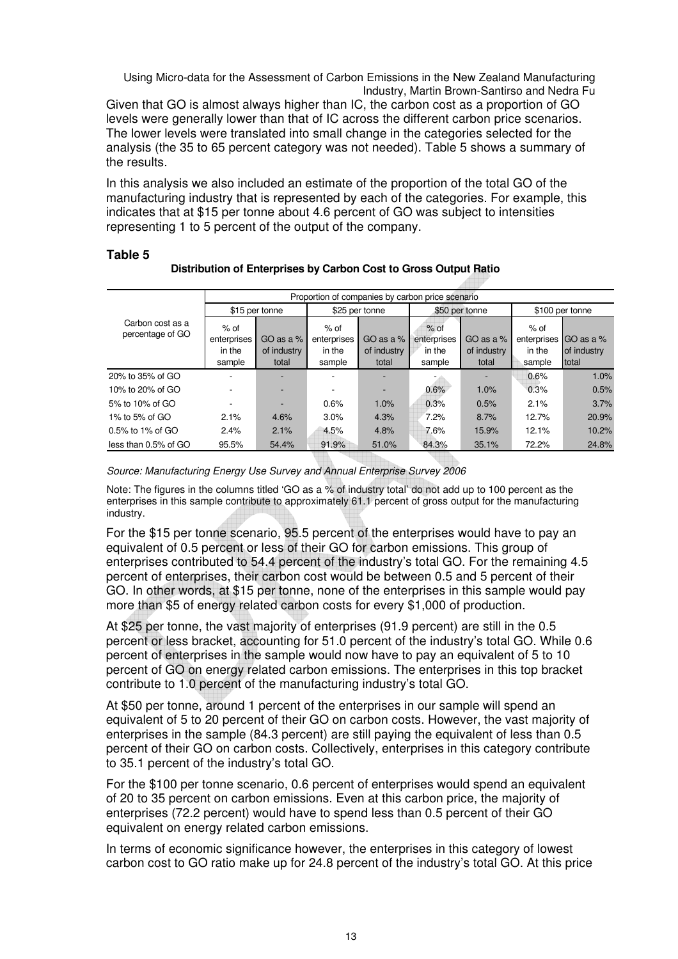Given that GO is almost always higher than IC, the carbon cost as a proportion of GO levels were generally lower than that of IC across the different carbon price scenarios. The lower levels were translated into small change in the categories selected for the analysis (the 35 to 65 percent category was not needed). Table 5 shows a summary of the results.

In this analysis we also included an estimate of the proportion of the total GO of the manufacturing industry that is represented by each of the categories. For example, this indicates that at \$15 per tonne about 4.6 percent of GO was subject to intensities representing 1 to 5 percent of the output of the company.

#### **Table 5**

|                                      |                                           |                                     |                                           | Proportion of companies by carbon price scenario |                                           |                                     |                                         |                                   |
|--------------------------------------|-------------------------------------------|-------------------------------------|-------------------------------------------|--------------------------------------------------|-------------------------------------------|-------------------------------------|-----------------------------------------|-----------------------------------|
|                                      |                                           | \$15 per tonne                      |                                           | \$25 per tonne                                   |                                           | \$50 per tonne                      |                                         | \$100 per tonne                   |
| Carbon cost as a<br>percentage of GO | $%$ of<br>enterprises<br>in the<br>sample | GO as a $%$<br>of industry<br>total | $%$ of<br>enterprises<br>in the<br>sample | GO as a $%$<br>of industry<br>total              | $%$ of<br>enterprises<br>in the<br>sample | GO as a $%$<br>of industry<br>total | % of<br>enterprises<br>in the<br>sample | GO as a %<br>of industry<br>total |
| 20% to 35% of GO                     |                                           |                                     |                                           |                                                  |                                           |                                     | 0.6%                                    | 1.0%                              |
| 10% to 20% of GO                     |                                           |                                     |                                           |                                                  | 0.6%                                      | 1.0%                                | 0.3%                                    | 0.5%                              |
| 5% to 10% of GO                      |                                           |                                     | 0.6%                                      | 1.0%                                             | 0.3%                                      | 0.5%                                | 2.1%                                    | 3.7%                              |
| 1% to 5% of GO                       | 2.1%                                      | 4.6%                                | 3.0%                                      | 4.3%                                             | 7.2%                                      | 8.7%                                | 12.7%                                   | 20.9%                             |
| $0.5\%$ to 1% of GO                  | 2.4%                                      | 2.1%                                | 4.5%                                      | 4.8%                                             | 7.6%                                      | 15.9%                               | 12.1%                                   | 10.2%                             |
| less than 0.5% of GO                 | 95.5%                                     | 54.4%                               | 91.9%                                     | 51.0%                                            | 84.3%                                     | 35.1%                               | 72.2%                                   | 24.8%                             |

#### **Distribution of Enterprises by Carbon Cost to Gross Output Ratio**

Source: Manufacturing Energy Use Survey and Annual Enterprise Survey 2006

Note: The figures in the columns titled 'GO as a % of industry total' do not add up to 100 percent as the enterprises in this sample contribute to approximately 61.1 percent of gross output for the manufacturing industry.

For the \$15 per tonne scenario, 95.5 percent of the enterprises would have to pay an equivalent of 0.5 percent or less of their GO for carbon emissions. This group of enterprises contributed to 54.4 percent of the industry's total GO. For the remaining 4.5 percent of enterprises, their carbon cost would be between 0.5 and 5 percent of their GO. In other words, at \$15 per tonne, none of the enterprises in this sample would pay more than \$5 of energy related carbon costs for every \$1,000 of production.

At \$25 per tonne, the vast majority of enterprises (91.9 percent) are still in the 0.5 percent or less bracket, accounting for 51.0 percent of the industry's total GO. While 0.6 percent of enterprises in the sample would now have to pay an equivalent of 5 to 10 percent of GO on energy related carbon emissions. The enterprises in this top bracket contribute to 1.0 percent of the manufacturing industry's total GO.

At \$50 per tonne, around 1 percent of the enterprises in our sample will spend an equivalent of 5 to 20 percent of their GO on carbon costs. However, the vast majority of enterprises in the sample (84.3 percent) are still paying the equivalent of less than 0.5 percent of their GO on carbon costs. Collectively, enterprises in this category contribute to 35.1 percent of the industry's total GO.

For the \$100 per tonne scenario, 0.6 percent of enterprises would spend an equivalent of 20 to 35 percent on carbon emissions. Even at this carbon price, the majority of enterprises (72.2 percent) would have to spend less than 0.5 percent of their GO equivalent on energy related carbon emissions.

In terms of economic significance however, the enterprises in this category of lowest carbon cost to GO ratio make up for 24.8 percent of the industry's total GO. At this price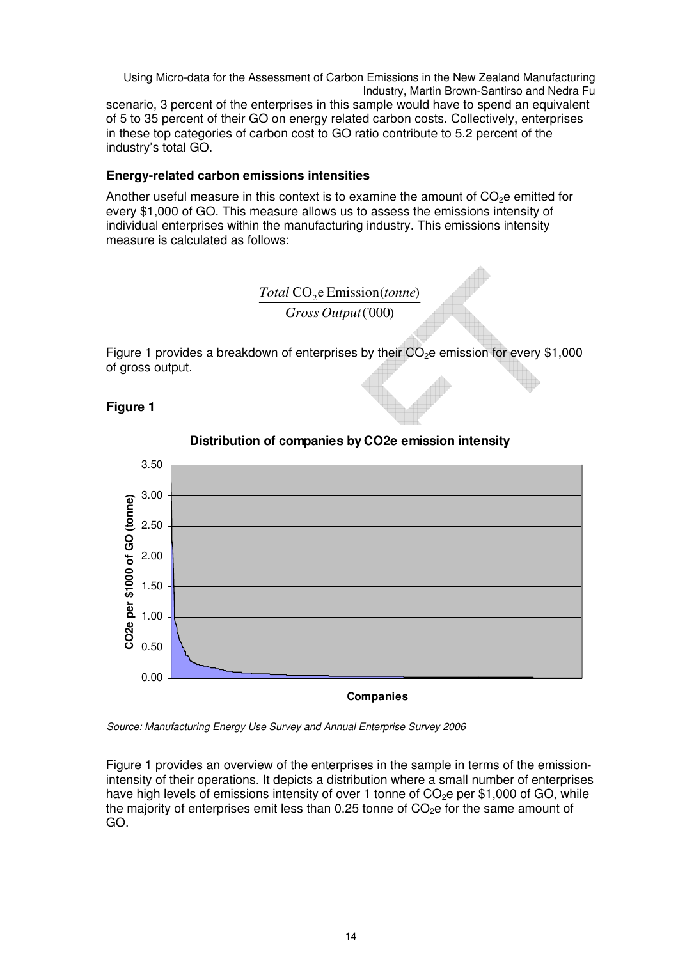Using Micro-data for the Assessment of Carbon Emissions in the New Zealand Manufacturing Industry, Martin Brown-Santirso and Nedra Fu scenario, 3 percent of the enterprises in this sample would have to spend an equivalent of 5 to 35 percent of their GO on energy related carbon costs. Collectively, enterprises in these top categories of carbon cost to GO ratio contribute to 5.2 percent of the industry's total GO.

### **Energy-related carbon emissions intensities**

Another useful measure in this context is to examine the amount of  $CO<sub>2</sub>e$  emitted for every \$1,000 of GO. This measure allows us to assess the emissions intensity of individual enterprises within the manufacturing industry. This emissions intensity measure is calculated as follows:



Figure 1 provides a breakdown of enterprises by their  $CO<sub>2</sub>e$  emission for every \$1,000 of gross output.

### **Figure 1**



### **Distribution of companies by CO2e emission intensity**

Source: Manufacturing Energy Use Survey and Annual Enterprise Survey 2006

Figure 1 provides an overview of the enterprises in the sample in terms of the emissionintensity of their operations. It depicts a distribution where a small number of enterprises have high levels of emissions intensity of over 1 tonne of  $CO<sub>2</sub>$ e per \$1,000 of GO, while the majority of enterprises emit less than 0.25 tonne of  $CO<sub>2</sub>e$  for the same amount of GO.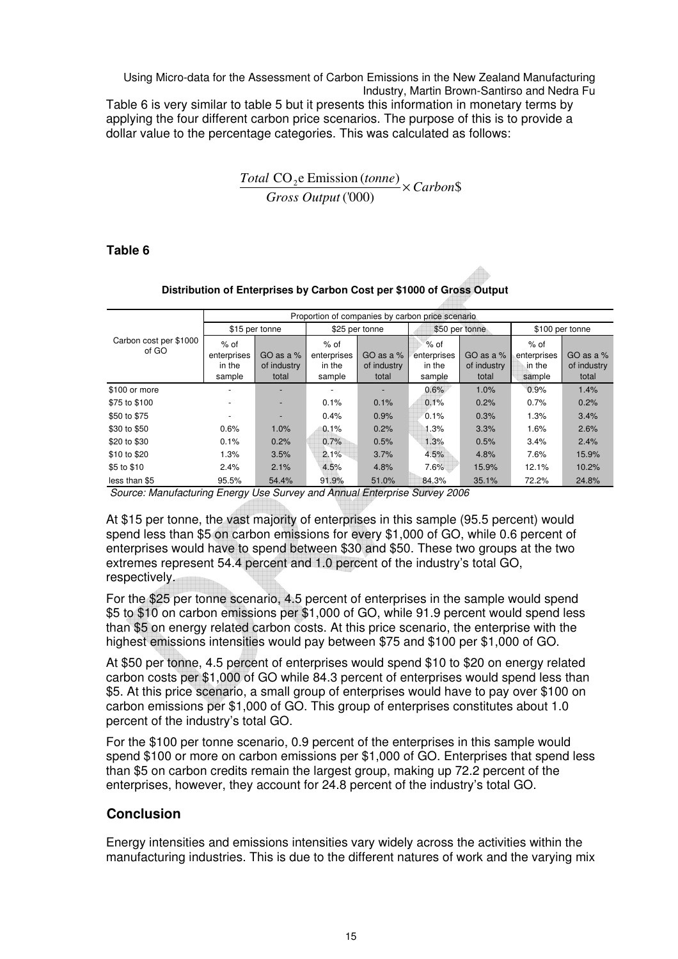Using Micro-data for the Assessment of Carbon Emissions in the New Zealand Manufacturing Industry, Martin Brown-Santirso and Nedra Fu Table 6 is very similar to table 5 but it presents this information in monetary terms by applying the four different carbon price scenarios. The purpose of this is to provide a dollar value to the percentage categories. This was calculated as follows:

# $\frac{Total\ CO_2e\ Emission\ (tonne)}{C} \times Carbon\$ ('000) *Gross Output*

### **Table 6**

|                                 |                                           |                                     |                                           |                                   | Proportion of companies by carbon price scenario |                                     |                                           |                                     |
|---------------------------------|-------------------------------------------|-------------------------------------|-------------------------------------------|-----------------------------------|--------------------------------------------------|-------------------------------------|-------------------------------------------|-------------------------------------|
|                                 |                                           | \$15 per tonne                      |                                           | \$25 per tonne                    |                                                  | \$50 per tonne                      |                                           | \$100 per tonne                     |
| Carbon cost per \$1000<br>of GO | $%$ of<br>enterprises<br>in the<br>sample | GO as a $%$<br>of industry<br>total | $%$ of<br>enterprises<br>in the<br>sample | GO as a %<br>of industry<br>total | $%$ of<br>enterprises<br>in the<br>sample        | GO as a $%$<br>of industry<br>total | $%$ of<br>enterprises<br>in the<br>sample | GO as a $%$<br>of industry<br>total |
| \$100 or more                   |                                           |                                     |                                           |                                   | 0.6%                                             | 1.0%                                | 0.9%                                      | 1.4%                                |
| \$75 to \$100                   |                                           |                                     | 0.1%                                      | 0.1%                              | 0.1%                                             | 0.2%                                | 0.7%                                      | 0.2%                                |
| \$50 to \$75                    |                                           |                                     | 0.4%                                      | 0.9%                              | 0.1%                                             | 0.3%                                | 1.3%                                      | 3.4%                                |
| \$30 to \$50                    | 0.6%                                      | 1.0%                                | 0.1%                                      | 0.2%                              | 1.3%                                             | 3.3%                                | 1.6%                                      | 2.6%                                |
| \$20 to \$30                    | 0.1%                                      | 0.2%                                | 0.7%                                      | 0.5%                              | 1.3%                                             | 0.5%                                | 3.4%                                      | 2.4%                                |
| \$10 to \$20                    | 1.3%                                      | 3.5%                                | 2.1%                                      | 3.7%                              | 4.5%                                             | 4.8%                                | 7.6%                                      | 15.9%                               |
| \$5 to \$10                     | 2.4%                                      | 2.1%                                | 4.5%                                      | 4.8%                              | 7.6%                                             | 15.9%                               | 12.1%                                     | 10.2%                               |
| less than \$5                   | 95.5%                                     | 54.4%                               | 91.9%                                     | 51.0%                             | 84.3%                                            | 35.1%                               | 72.2%                                     | 24.8%                               |

#### **Distribution of Enterprises by Carbon Cost per \$1000 of Gross Output**

Source: Manufacturing Energy Use Survey and Annual Enterprise Survey 2006

At \$15 per tonne, the vast majority of enterprises in this sample (95.5 percent) would spend less than \$5 on carbon emissions for every \$1,000 of GO, while 0.6 percent of enterprises would have to spend between \$30 and \$50. These two groups at the two extremes represent 54.4 percent and 1.0 percent of the industry's total GO, respectively.

For the \$25 per tonne scenario, 4.5 percent of enterprises in the sample would spend \$5 to \$10 on carbon emissions per \$1,000 of GO, while 91.9 percent would spend less than \$5 on energy related carbon costs. At this price scenario, the enterprise with the highest emissions intensities would pay between \$75 and \$100 per \$1,000 of GO.

At \$50 per tonne, 4.5 percent of enterprises would spend \$10 to \$20 on energy related carbon costs per \$1,000 of GO while 84.3 percent of enterprises would spend less than \$5. At this price scenario, a small group of enterprises would have to pay over \$100 on carbon emissions per \$1,000 of GO. This group of enterprises constitutes about 1.0 percent of the industry's total GO.

For the \$100 per tonne scenario, 0.9 percent of the enterprises in this sample would spend \$100 or more on carbon emissions per \$1,000 of GO. Enterprises that spend less than \$5 on carbon credits remain the largest group, making up 72.2 percent of the enterprises, however, they account for 24.8 percent of the industry's total GO.

# **Conclusion**

Energy intensities and emissions intensities vary widely across the activities within the manufacturing industries. This is due to the different natures of work and the varying mix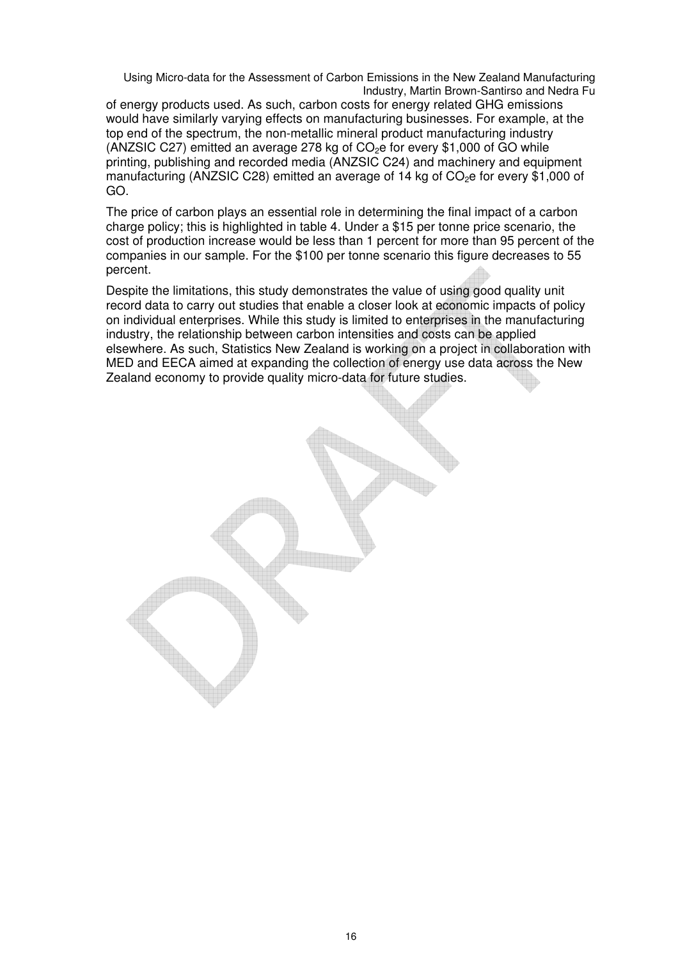of energy products used. As such, carbon costs for energy related GHG emissions would have similarly varying effects on manufacturing businesses. For example, at the top end of the spectrum, the non-metallic mineral product manufacturing industry (ANZSIC C27) emitted an average 278 kg of  $CO<sub>2</sub>e$  for every \$1,000 of GO while printing, publishing and recorded media (ANZSIC C24) and machinery and equipment manufacturing (ANZSIC C28) emitted an average of 14 kg of  $CO<sub>2</sub>e$  for every \$1,000 of GO.

The price of carbon plays an essential role in determining the final impact of a carbon charge policy; this is highlighted in table 4. Under a \$15 per tonne price scenario, the cost of production increase would be less than 1 percent for more than 95 percent of the companies in our sample. For the \$100 per tonne scenario this figure decreases to 55 percent.

Despite the limitations, this study demonstrates the value of using good quality unit record data to carry out studies that enable a closer look at economic impacts of policy on individual enterprises. While this study is limited to enterprises in the manufacturing industry, the relationship between carbon intensities and costs can be applied elsewhere. As such, Statistics New Zealand is working on a project in collaboration with MED and EECA aimed at expanding the collection of energy use data across the New Zealand economy to provide quality micro-data for future studies.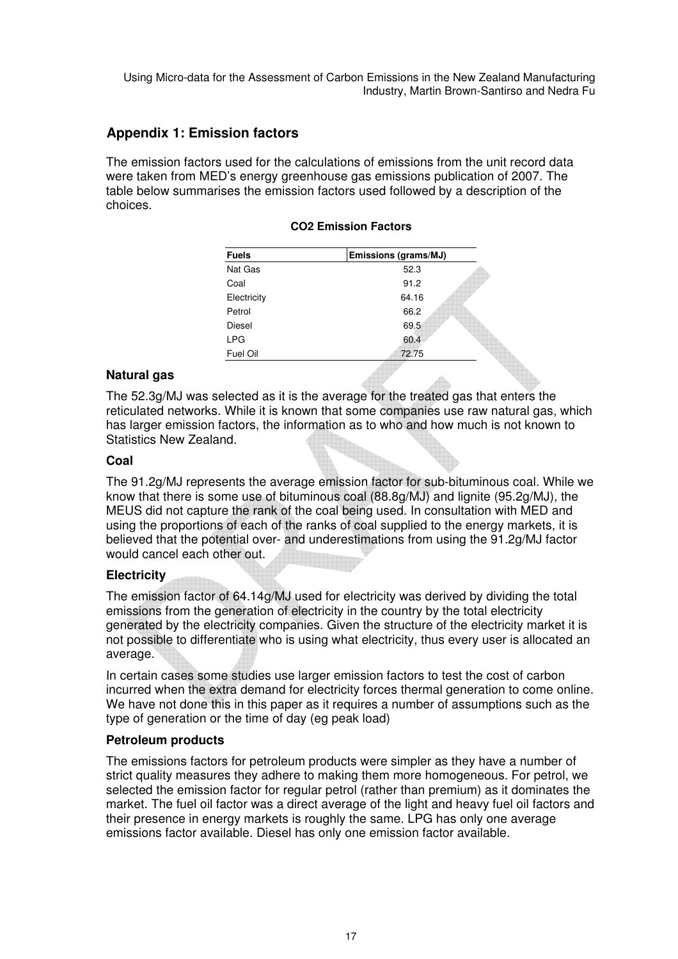## **Appendix 1: Emission factors**

The emission factors used for the calculations of emissions from the unit record data were taken from MED's energy greenhouse gas emissions publication of 2007. The table below summarises the emission factors used followed by a description of the choices.

| <b>Fuels</b> | Emissions (grams/MJ) |
|--------------|----------------------|
| Nat Gas      | 52.3                 |
| Coal         | 91.2                 |
| Electricity  | 64.16                |
| Petrol       | 66.2                 |
| Diesel       | 69.5                 |
| <b>LPG</b>   | 60.4                 |
| Fuel Oil     | 72.75                |

#### **CO2 Emission Factors**

#### **Natural gas**

The 52.3g/MJ was selected as it is the average for the treated gas that enters the reticulated networks. While it is known that some companies use raw natural gas, which has larger emission factors, the information as to who and how much is not known to Statistics New Zealand.

#### **Coal**

The 91.2g/MJ represents the average emission factor for sub-bituminous coal. While we know that there is some use of bituminous coal (88.8g/MJ) and lignite (95.2g/MJ), the MEUS did not capture the rank of the coal being used. In consultation with MED and using the proportions of each of the ranks of coal supplied to the energy markets, it is believed that the potential over- and underestimations from using the 91.2g/MJ factor would cancel each other out.

#### **Electricity**

The emission factor of 64.14g/MJ used for electricity was derived by dividing the total emissions from the generation of electricity in the country by the total electricity generated by the electricity companies. Given the structure of the electricity market it is not possible to differentiate who is using what electricity, thus every user is allocated an average.

In certain cases some studies use larger emission factors to test the cost of carbon incurred when the extra demand for electricity forces thermal generation to come online. We have not done this in this paper as it requires a number of assumptions such as the type of generation or the time of day (eg peak load)

#### **Petroleum products**

The emissions factors for petroleum products were simpler as they have a number of strict quality measures they adhere to making them more homogeneous. For petrol, we selected the emission factor for regular petrol (rather than premium) as it dominates the market. The fuel oil factor was a direct average of the light and heavy fuel oil factors and their presence in energy markets is roughly the same. LPG has only one average emissions factor available. Diesel has only one emission factor available.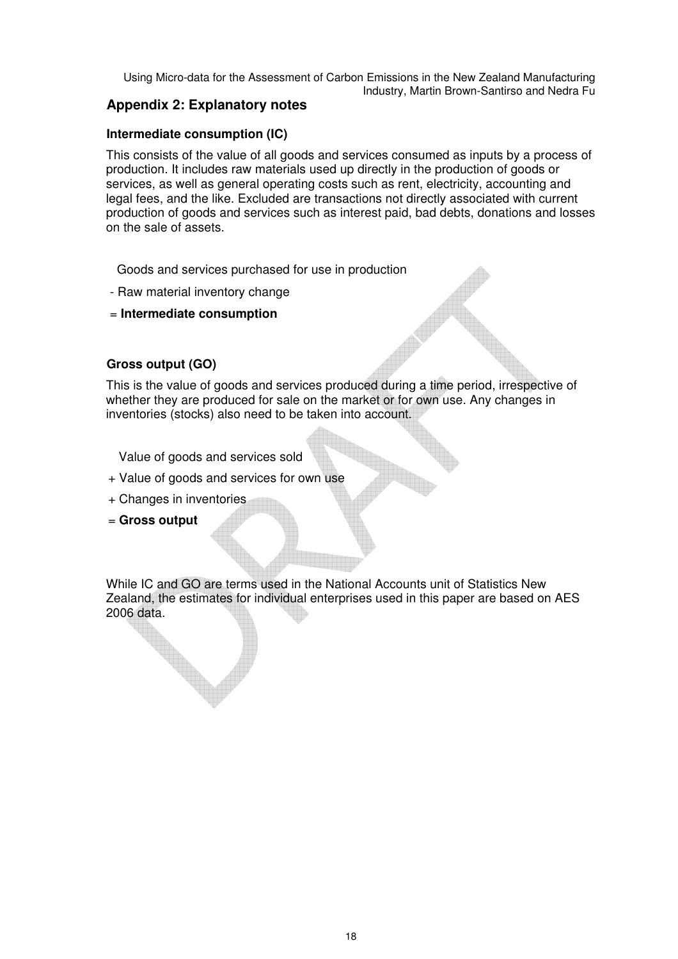## **Appendix 2: Explanatory notes**

## **Intermediate consumption (IC)**

This consists of the value of all goods and services consumed as inputs by a process of production. It includes raw materials used up directly in the production of goods or services, as well as general operating costs such as rent, electricity, accounting and legal fees, and the like. Excluded are transactions not directly associated with current production of goods and services such as interest paid, bad debts, donations and losses on the sale of assets.

Goods and services purchased for use in production

- Raw material inventory change
- = **Intermediate consumption**

## **Gross output (GO)**

This is the value of goods and services produced during a time period, irrespective of whether they are produced for sale on the market or for own use. Any changes in inventories (stocks) also need to be taken into account.

Value of goods and services sold

- + Value of goods and services for own use
- + Changes in inventories
- = **Gross output**

While IC and GO are terms used in the National Accounts unit of Statistics New Zealand, the estimates for individual enterprises used in this paper are based on AES 2006 data.